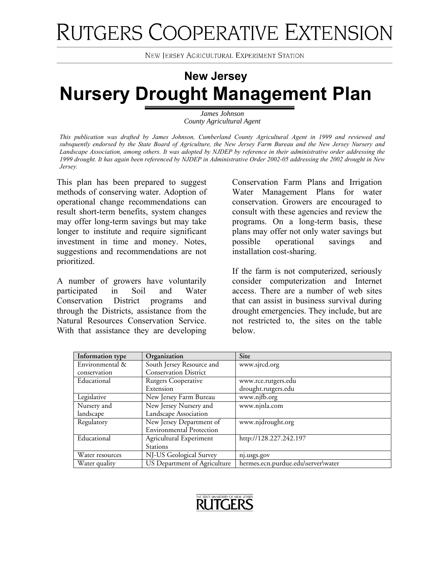# RUTGERS COOPERATIVE EXTENSION

**NEW JERSEY AGRICULTURAL EXPERIMENT STATION** 

# **New Jersey Nursery Drought Management Plan**

*James Johnson County Agricultural Agent* 

*This publication was drafted by James Johnson, Cumberland County Agricultural Agent in 1999 and reviewed and subsquently endorsed by the State Board of Agriculture, the New Jersey Farm Bureau and the New Jersey Nursery and Landscape Association, among others. It was adopted by NJDEP by reference in their administrative order addressing the 1999 drought. It has again been referenced by NJDEP in Administrative Order 2002-05 addressing the 2002 drought in New Jersey.* 

This plan has been prepared to suggest methods of conserving water. Adoption of operational change recommendations can result short-term benefits, system changes may offer long-term savings but may take longer to institute and require significant investment in time and money. Notes, suggestions and recommendations are not prioritized.

A number of growers have voluntarily participated in Soil and Water Conservation District programs and through the Districts, assistance from the Natural Resources Conservation Service. With that assistance they are developing

Conservation Farm Plans and Irrigation Water Management Plans for water conservation. Growers are encouraged to consult with these agencies and review the programs. On a long-term basis, these plans may offer not only water savings but possible operational savings and installation cost-sharing.

If the farm is not computerized, seriously consider computerization and Internet access. There are a number of web sites that can assist in business survival during drought emergencies. They include, but are not restricted to, the sites on the table below.

| Information type | Organization                    | Site                               |
|------------------|---------------------------------|------------------------------------|
| Environmental &  | South Jersey Resource and       | www.sjrcd.org                      |
| conservation     | <b>Conservation District</b>    |                                    |
| Educational      | <b>Rutgers Cooperative</b>      | www.rce.rutgers.edu                |
|                  | Extension                       | drought.rutgers.edu                |
| Legislative      | New Jersey Farm Bureau          | www.njfb.org                       |
| Nursery and      | New Jersey Nursery and          | www.njnla.com                      |
| landscape        | Landscape Association           |                                    |
| Regulatory       | New Jersey Department of        | www.njdrought.org                  |
|                  | <b>Environmental Protection</b> |                                    |
| Educational      | Agricultural Experiment         | http://128.227.242.197             |
|                  | Stations                        |                                    |
| Water resources  | NJ-US Geological Survey         | nj.usgs.gov                        |
| Water quality    | US Department of Agriculture    | hermes.ecn.purdue.edu\server\water |

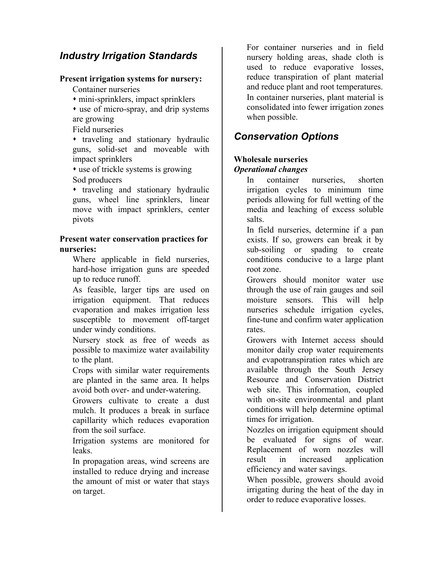# *Industry Irrigation Standards*

#### **Present irrigation systems for nursery:**

Container nurseries

mini-sprinklers, impact sprinklers

 use of micro-spray, and drip systems are growing

Field nurseries

 traveling and stationary hydraulic guns, solid-set and moveable with impact sprinklers

 use of trickle systems is growing Sod producers

 $\cdot$  traveling and stationary hydraulic guns, wheel line sprinklers, linear move with impact sprinklers, center pivots

#### **Present water conservation practices for nurseries:**

Where applicable in field nurseries, hard-hose irrigation guns are speeded up to reduce runoff.

As feasible, larger tips are used on irrigation equipment. That reduces evaporation and makes irrigation less susceptible to movement off-target under windy conditions.

Nursery stock as free of weeds as possible to maximize water availability to the plant.

Crops with similar water requirements are planted in the same area. It helps avoid both over- and under-watering.

Growers cultivate to create a dust mulch. It produces a break in surface capillarity which reduces evaporation from the soil surface.

Irrigation systems are monitored for leaks.

In propagation areas, wind screens are installed to reduce drying and increase the amount of mist or water that stays on target.

For container nurseries and in field nursery holding areas, shade cloth is used to reduce evaporative losses, reduce transpiration of plant material and reduce plant and root temperatures. In container nurseries, plant material is consolidated into fewer irrigation zones when possible.

# *Conservation Options*

#### **Wholesale nurseries**  *Operational changes*

In container nurseries, shorten irrigation cycles to minimum time periods allowing for full wetting of the media and leaching of excess soluble salts.

In field nurseries, determine if a pan exists. If so, growers can break it by sub-soiling or spading to create conditions conducive to a large plant root zone.

Growers should monitor water use through the use of rain gauges and soil moisture sensors. This will help nurseries schedule irrigation cycles, fine-tune and confirm water application rates.

Growers with Internet access should monitor daily crop water requirements and evapotranspiration rates which are available through the South Jersey Resource and Conservation District web site. This information, coupled with on-site environmental and plant conditions will help determine optimal times for irrigation.

Nozzles on irrigation equipment should be evaluated for signs of wear. Replacement of worn nozzles will result in increased application efficiency and water savings.

When possible, growers should avoid irrigating during the heat of the day in order to reduce evaporative losses.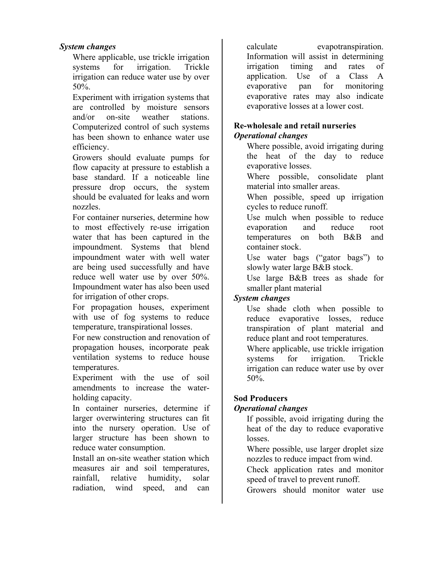#### *System changes*

Where applicable, use trickle irrigation systems for *irrigation*. Trickle irrigation can reduce water use by over 50%.

Experiment with irrigation systems that are controlled by moisture sensors and/or on-site weather stations. Computerized control of such systems has been shown to enhance water use efficiency.

Growers should evaluate pumps for flow capacity at pressure to establish a base standard. If a noticeable line pressure drop occurs, the system should be evaluated for leaks and worn nozzles.

For container nurseries, determine how to most effectively re-use irrigation water that has been captured in the impoundment. Systems that blend impoundment water with well water are being used successfully and have reduce well water use by over 50%. Impoundment water has also been used for irrigation of other crops.

For propagation houses, experiment with use of fog systems to reduce temperature, transpirational losses.

For new construction and renovation of propagation houses, incorporate peak ventilation systems to reduce house temperatures.

Experiment with the use of soil amendments to increase the waterholding capacity.

In container nurseries, determine if larger overwintering structures can fit into the nursery operation. Use of larger structure has been shown to reduce water consumption.

Install an on-site weather station which measures air and soil temperatures, rainfall, relative humidity, solar radiation, wind speed, and can

calculate evapotranspiration. Information will assist in determining irrigation timing and rates of application. Use of a Class A evaporative pan for monitoring evaporative rates may also indicate evaporative losses at a lower cost.

#### **Re-wholesale and retail nurseries**  *Operational changes*

Where possible, avoid irrigating during the heat of the day to reduce evaporative losses.

Where possible, consolidate plant material into smaller areas.

When possible, speed up irrigation cycles to reduce runoff.

Use mulch when possible to reduce evaporation and reduce root temperatures on both B&B and container stock.

Use water bags ("gator bags") to slowly water large B&B stock.

Use large B&B trees as shade for smaller plant material

#### *System changes*

Use shade cloth when possible to reduce evaporative losses, reduce transpiration of plant material and reduce plant and root temperatures.

Where applicable, use trickle irrigation systems for *irrigation*. Trickle irrigation can reduce water use by over 50%.

#### **Sod Producers**

#### *Operational changes*

If possible, avoid irrigating during the heat of the day to reduce evaporative losses.

Where possible, use larger droplet size nozzles to reduce impact from wind.

Check application rates and monitor speed of travel to prevent runoff.

Growers should monitor water use